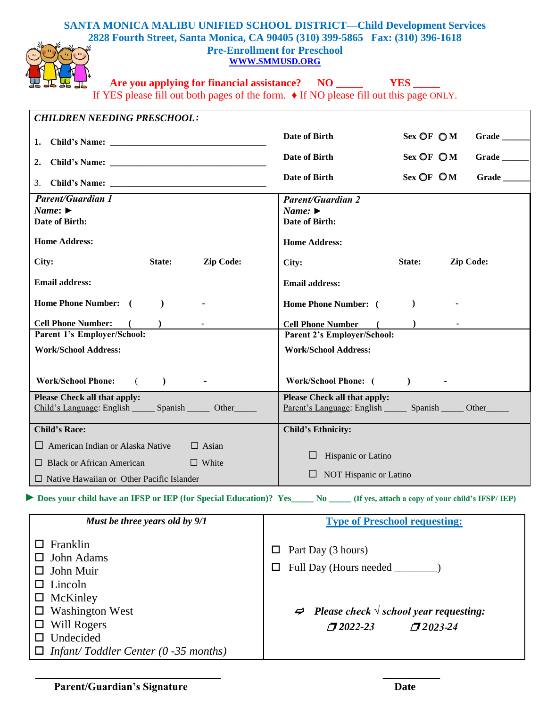## **SANTA MONICA MALIBU UNIFIED SCHOOL DISTRICT—Child Development Services 2828 Fourth Street, Santa Monica, CA 90405 (310) 399-5865 Fax: (310) 396-1618 Pre-Enrollment for Preschool [WWW.SMMUSD.ORG](http://www.smmusd.org/)**



**Are you applying for financial assistance? NO \_\_\_\_\_ YES \_\_\_\_\_**

If YES please fill out both pages of the form. ♦ If NO please fill out this page ONLY.

| <b>CHILDREN NEEDING PRESCHOOL:</b>                                  |                                                                                                                                   |
|---------------------------------------------------------------------|-----------------------------------------------------------------------------------------------------------------------------------|
|                                                                     | Date of Birth<br>Sex OFOM<br>$Grade \_$                                                                                           |
| 2.                                                                  | Date of Birth<br>Grade<br>Sex OFOM                                                                                                |
|                                                                     | Sex OFOM<br>Date of Birth<br>Grade                                                                                                |
|                                                                     |                                                                                                                                   |
| <b>Parent/Guardian 1</b><br>Name: $\blacktriangleright$             | <b>Parent/Guardian 2</b><br>Name: $\blacktriangleright$                                                                           |
| <b>Date of Birth:</b>                                               | Date of Birth:                                                                                                                    |
| <b>Home Address:</b>                                                | <b>Home Address:</b>                                                                                                              |
| Zip Code:<br>City:<br>State:                                        | Zip Code:<br>State:<br>City:                                                                                                      |
| <b>Email address:</b>                                               | <b>Email address:</b>                                                                                                             |
| Home Phone Number: (<br>$\rightarrow$                               | $\mathcal{L}$<br><b>Home Phone Number:</b> (                                                                                      |
| <b>Cell Phone Number:</b><br>$\overline{\phantom{a}}$<br>$\sqrt{2}$ | <b>Cell Phone Number</b><br>$($ $)$                                                                                               |
| Parent 1's Employer/School:                                         | Parent 2's Employer/School:                                                                                                       |
| <b>Work/School Address:</b>                                         | <b>Work/School Address:</b>                                                                                                       |
| <b>Work/School Phone:</b><br>$($ $)$                                | Work/School Phone: ( )                                                                                                            |
| Please Check all that apply:                                        | <b>Please Check all that apply:</b>                                                                                               |
| Child's Language: English _______ Spanish ________ Other            | <u>Parent's Language</u> : English _________ Spanish ________ Other                                                               |
| <b>Child's Race:</b>                                                | <b>Child's Ethnicity:</b>                                                                                                         |
| $\Box$ Asian<br>$\Box$ American Indian or Alaska Native             |                                                                                                                                   |
| $\Box$ White<br>$\Box$ Black or African American                    | Hispanic or Latino                                                                                                                |
| $\Box$ Native Hawaiian or Other Pacific Islander                    | NOT Hispanic or Latino                                                                                                            |
|                                                                     | Does your child have an IFSP or IEP (for Special Education)? Yes______ No _____ (If yes, attach a copy of your child's IFSP/ IEP) |
| Must be three years old by 9/1                                      | <b>Type of Preschool requesting:</b>                                                                                              |
| $\Box$ Franklin                                                     |                                                                                                                                   |
| John Adams                                                          | Part Day (3 hours)<br>$\Box$                                                                                                      |
| $\Box$ John Muir                                                    | Full Day (Hours needed _<br>$\Box$                                                                                                |

 *Please check √ school year requesting:*   $\Box$ 2022-23 *22022-23* ❐ *2023-24*

|  | $\Box$ Infant/Toddler Center (0 -35 months) |  |  |
|--|---------------------------------------------|--|--|
|  |                                             |  |  |

 **\_\_\_\_\_\_\_\_\_\_\_\_\_\_\_\_\_\_\_\_\_\_\_\_\_\_ \_\_\_\_\_\_\_\_**

□ Lincoln □ McKinley

□ Washington West

 Will Rogers □ Undecided